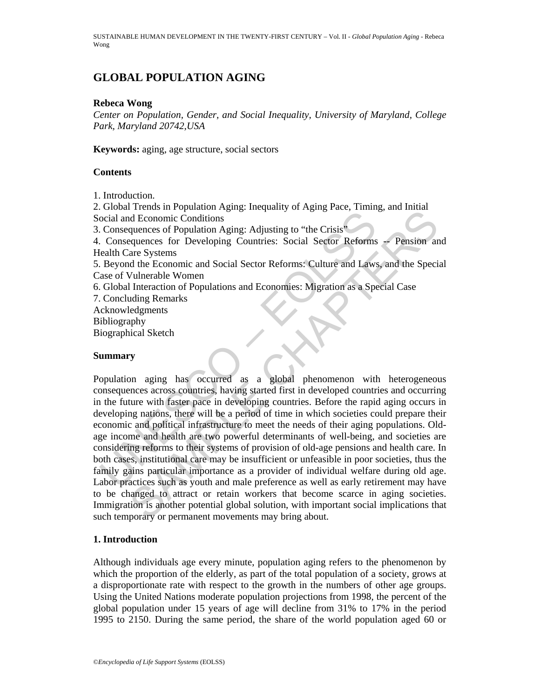SUSTAINABLE HUMAN DEVELOPMENT IN THE TWENTY-FIRST CENTURY – Vol. II - *Global Population Aging* - Rebeca Wong

# **GLOBAL POPULATION AGING**

#### **Rebeca Wong**

*Center on Population, Gender, and Social Inequality, University of Maryland, College Park, Maryland 20742,USA* 

**Keywords:** aging, age structure, social sectors

### **Contents**

1. Introduction.

2. Global Trends in Population Aging: Inequality of Aging Pace, Timing, and Initial Social and Economic Conditions

3. Consequences of Population Aging: Adjusting to "the Crisis"

4. Consequences for Developing Countries: Social Sector Reforms -- Pension and Health Care Systems

5. Beyond the Economic and Social Sector Reforms: Culture and Laws, and the Special Case of Vulnerable Women

6. Global Interaction of Populations and Economies: Migration as a Special Case

7. Concluding Remarks Acknowledgments

Bibliography

Biographical Sketch

### **Summary**

ocial and Economic Conditions<br>
coid and Economic Conditions<br>
Consequences of Population Aging: Adjusting to "the Crisis"<br>
Consequences for Developing Countries: Social Sector Reforms<br>
Election Beystems<br>
Election Beystems<br> Freehas in "optimator" signs. Inequality of Figure 1, etc., riming, and rimation<br>d Economic Conditions<br>quences of Population Aging: Adjusting to "the Crisis"<br>evaluated Social Sector Reforms - Pension an<br>are Systems<br>and the Population aging has occurred as a global phenomenon with heterogeneous consequences across countries, having started first in developed countries and occurring in the future with faster pace in developing countries. Before the rapid aging occurs in developing nations, there will be a period of time in which societies could prepare their economic and political infrastructure to meet the needs of their aging populations. Oldage income and health are two powerful determinants of well-being, and societies are considering reforms to their systems of provision of old-age pensions and health care. In both cases, institutional care may be insufficient or unfeasible in poor societies, thus the family gains particular importance as a provider of individual welfare during old age. Labor practices such as youth and male preference as well as early retirement may have to be changed to attract or retain workers that become scarce in aging societies. Immigration is another potential global solution, with important social implications that such temporary or permanent movements may bring about.

### **1. Introduction**

Although individuals age every minute, population aging refers to the phenomenon by which the proportion of the elderly, as part of the total population of a society, grows at a disproportionate rate with respect to the growth in the numbers of other age groups. Using the United Nations moderate population projections from 1998, the percent of the global population under 15 years of age will decline from 31% to 17% in the period 1995 to 2150. During the same period, the share of the world population aged 60 or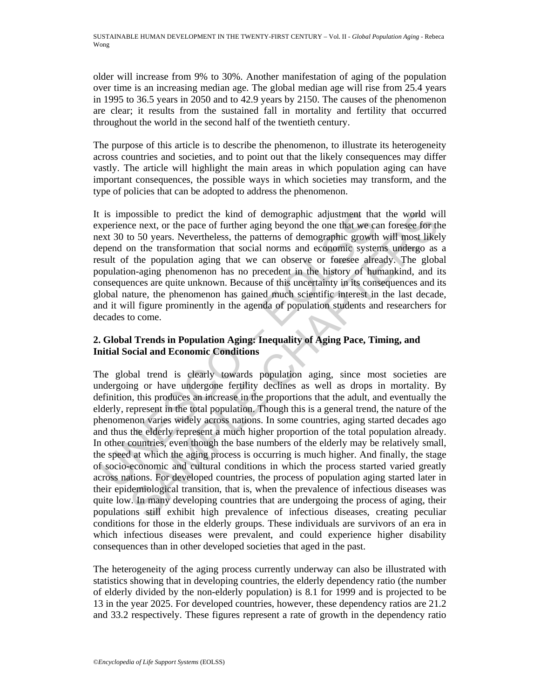older will increase from 9% to 30%. Another manifestation of aging of the population over time is an increasing median age. The global median age will rise from 25.4 years in 1995 to 36.5 years in 2050 and to 42.9 years by 2150. The causes of the phenomenon are clear; it results from the sustained fall in mortality and fertility that occurred throughout the world in the second half of the twentieth century.

The purpose of this article is to describe the phenomenon, to illustrate its heterogeneity across countries and societies, and to point out that the likely consequences may differ vastly. The article will highlight the main areas in which population aging can have important consequences, the possible ways in which societies may transform, and the type of policies that can be adopted to address the phenomenon.

It is impossible to predict the kind of demographic adjustment that the world will experience next, or the pace of further aging beyond the one that we can foresee for the next 30 to 50 years. Nevertheless, the patterns of demographic growth will most likely depend on the transformation that social norms and economic systems undergo as a result of the population aging that we can observe or foresee already. The global population-aging phenomenon has no precedent in the history of humankind, and its consequences are quite unknown. Because of this uncertainty in its consequences and its global nature, the phenomenon has gained much scientific interest in the last decade, and it will figure prominently in the agenda of population students and researchers for decades to come.

## **2. Global Trends in Population Aging: Inequality of Aging Pace, Timing, and Initial Social and Economic Conditions**

is impossible to predict the kind of demographic adjustment that<br>perience next, or the pace of further aging beyond the one that we can<br>exact 30 to 50 years. Nevertheless, the patterns of demographic growth<br>epend on the tr bossible to predict the kind of demographic adjustment that the world wi<br>ce near, or the pace of further agin beyond the one that we can foresee for the<br>co 50 yours. Nevertheless, the patterns of demographic growth vill mo The global trend is clearly towards population aging, since most societies are undergoing or have undergone fertility declines as well as drops in mortality. By definition, this produces an increase in the proportions that the adult, and eventually the elderly, represent in the total population. Though this is a general trend, the nature of the phenomenon varies widely across nations. In some countries, aging started decades ago and thus the elderly represent a much higher proportion of the total population already. In other countries, even though the base numbers of the elderly may be relatively small, the speed at which the aging process is occurring is much higher. And finally, the stage of socio-economic and cultural conditions in which the process started varied greatly across nations. For developed countries, the process of population aging started later in their epidemiological transition, that is, when the prevalence of infectious diseases was quite low. In many developing countries that are undergoing the process of aging, their populations still exhibit high prevalence of infectious diseases, creating peculiar conditions for those in the elderly groups. These individuals are survivors of an era in which infectious diseases were prevalent, and could experience higher disability consequences than in other developed societies that aged in the past.

The heterogeneity of the aging process currently underway can also be illustrated with statistics showing that in developing countries, the elderly dependency ratio (the number of elderly divided by the non-elderly population) is 8.1 for 1999 and is projected to be 13 in the year 2025. For developed countries, however, these dependency ratios are 21.2 and 33.2 respectively. These figures represent a rate of growth in the dependency ratio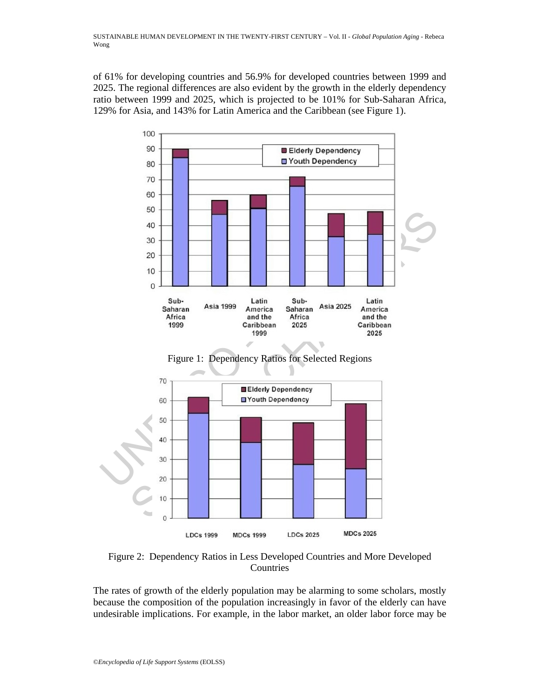of 61% for developing countries and 56.9% for developed countries between 1999 and 2025. The regional differences are also evident by the growth in the elderly dependency ratio between 1999 and 2025, which is projected to be 101% for Sub-Saharan Africa, 129% for Asia, and 143% for Latin America and the Caribbean (see Figure 1).



Figure 2: Dependency Ratios in Less Developed Countries and More Developed Countries

The rates of growth of the elderly population may be alarming to some scholars, mostly because the composition of the population increasingly in favor of the elderly can have undesirable implications. For example, in the labor market, an older labor force may be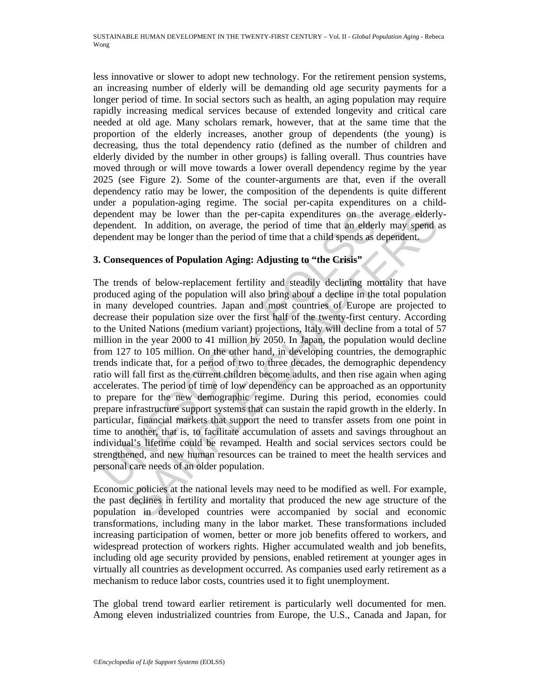less innovative or slower to adopt new technology. For the retirement pension systems, an increasing number of elderly will be demanding old age security payments for a longer period of time. In social sectors such as health, an aging population may require rapidly increasing medical services because of extended longevity and critical care needed at old age. Many scholars remark, however, that at the same time that the proportion of the elderly increases, another group of dependents (the young) is decreasing, thus the total dependency ratio (defined as the number of children and elderly divided by the number in other groups) is falling overall. Thus countries have moved through or will move towards a lower overall dependency regime by the year 2025 (see Figure 2). Some of the counter-arguments are that, even if the overall dependency ratio may be lower, the composition of the dependents is quite different under a population-aging regime. The social per-capita expenditures on a childdependent may be lower than the per-capita expenditures on the average elderlydependent. In addition, on average, the period of time that an elderly may spend as dependent may be longer than the period of time that a child spends as dependent.

## **3. Consequences of Population Aging: Adjusting to "the Crisis"**

ependent may be lower than the per-capita expenditures on the ependent. In addition, on average, the period of time that an elder ependent may be longer than the period of time that a child spends as **c**. **Consequences of** It may be lower than the per-capita expenditures on the average elderly<br>
It. In addition, on average, the period of time that an elderly may spend at<br>
It may be longer than the period of time that a child spends as depende The trends of below-replacement fertility and steadily declining mortality that have produced aging of the population will also bring about a decline in the total population in many developed countries. Japan and most countries of Europe are projected to decrease their population size over the first half of the twenty-first century. According to the United Nations (medium variant) projections, Italy will decline from a total of 57 million in the year 2000 to 41 million by 2050. In Japan, the population would decline from 127 to 105 million. On the other hand, in developing countries, the demographic trends indicate that, for a period of two to three decades, the demographic dependency ratio will fall first as the current children become adults, and then rise again when aging accelerates. The period of time of low dependency can be approached as an opportunity to prepare for the new demographic regime. During this period, economies could prepare infrastructure support systems that can sustain the rapid growth in the elderly. In particular, financial markets that support the need to transfer assets from one point in time to another, that is, to facilitate accumulation of assets and savings throughout an individual's lifetime could be revamped. Health and social services sectors could be strengthened, and new human resources can be trained to meet the health services and personal care needs of an older population.

Economic policies at the national levels may need to be modified as well. For example, the past declines in fertility and mortality that produced the new age structure of the population in developed countries were accompanied by social and economic transformations, including many in the labor market. These transformations included increasing participation of women, better or more job benefits offered to workers, and widespread protection of workers rights. Higher accumulated wealth and job benefits, including old age security provided by pensions, enabled retirement at younger ages in virtually all countries as development occurred. As companies used early retirement as a mechanism to reduce labor costs, countries used it to fight unemployment.

The global trend toward earlier retirement is particularly well documented for men. Among eleven industrialized countries from Europe, the U.S., Canada and Japan, for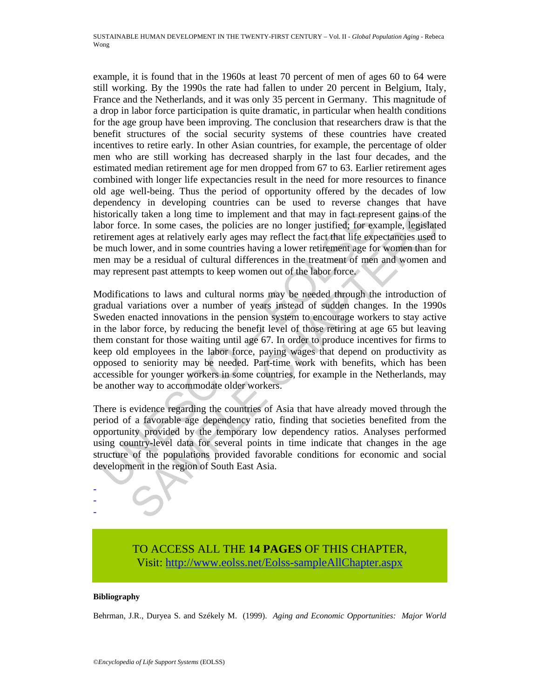example, it is found that in the 1960s at least 70 percent of men of ages 60 to 64 were still working. By the 1990s the rate had fallen to under 20 percent in Belgium, Italy, France and the Netherlands, and it was only 35 percent in Germany. This magnitude of a drop in labor force participation is quite dramatic, in particular when health conditions for the age group have been improving. The conclusion that researchers draw is that the benefit structures of the social security systems of these countries have created incentives to retire early. In other Asian countries, for example, the percentage of older men who are still working has decreased sharply in the last four decades, and the estimated median retirement age for men dropped from 67 to 63. Earlier retirement ages combined with longer life expectancies result in the need for more resources to finance old age well-being. Thus the period of opportunity offered by the decades of low dependency in developing countries can be used to reverse changes that have historically taken a long time to implement and that may in fact represent gains of the labor force. In some cases, the policies are no longer justified; for example, legislated retirement ages at relatively early ages may reflect the fact that life expectancies used to be much lower, and in some countries having a lower retirement age for women than for men may be a residual of cultural differences in the treatment of men and women and may represent past attempts to keep women out of the labor force.

istorically taken a long time to implement and that may in fact represe bor force. In some cases, the policies are no longer justified; for extirement ages at relatively early sags may reflect the fact that life experiment lly taken a long time to implement and that may in fact represent gains of the cc. In some cases, the policies are no longer justificed; for example, legislated at example, the rest at at any conter justificed; for example Modifications to laws and cultural norms may be needed through the introduction of gradual variations over a number of years instead of sudden changes. In the 1990s Sweden enacted innovations in the pension system to encourage workers to stay active in the labor force, by reducing the benefit level of those retiring at age 65 but leaving them constant for those waiting until age 67. In order to produce incentives for firms to keep old employees in the labor force, paying wages that depend on productivity as opposed to seniority may be needed. Part-time work with benefits, which has been accessible for younger workers in some countries, for example in the Netherlands, may be another way to accommodate older workers.

There is evidence regarding the countries of Asia that have already moved through the period of a favorable age dependency ratio, finding that societies benefited from the opportunity provided by the temporary low dependency ratios. Analyses performed using country-level data for several points in time indicate that changes in the age structure of the populations provided favorable conditions for economic and social development in the region of South East Asia.

> TO ACCESS ALL THE **14 PAGES** OF THIS CHAPTER, Visit[: http://www.eolss.net/Eolss-sampleAllChapter.aspx](https://www.eolss.net/ebooklib/sc_cart.aspx?File=E6-60-04-07)

#### **Bibliography**

- - -

Behrman, J.R., Duryea S. and Székely M. (1999). *Aging and Economic Opportunities: Major World*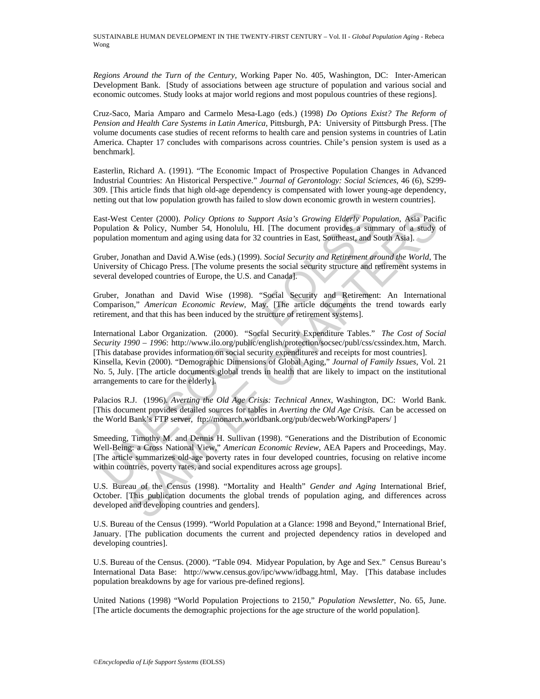SUSTAINABLE HUMAN DEVELOPMENT IN THE TWENTY-FIRST CENTURY – Vol. II - *Global Population Aging* - Rebeca Wong

*Regions Around the Turn of the Century*, Working Paper No. 405, Washington, DC: Inter-American Development Bank. [Study of associations between age structure of population and various social and economic outcomes. Study looks at major world regions and most populous countries of these regions].

Cruz-Saco, Maria Amparo and Carmelo Mesa-Lago (eds.) (1998) *Do Options Exist? The Reform of Pension and Health Care Systems in Latin America,* Pittsburgh, PA: University of Pittsburgh Press. [The volume documents case studies of recent reforms to health care and pension systems in countries of Latin America. Chapter 17 concludes with comparisons across countries. Chile's pension system is used as a benchmark].

Easterlin, Richard A. (1991). "The Economic Impact of Prospective Population Changes in Advanced Industrial Countries: An Historical Perspective." *Journal of Gerontology: Social Sciences*, 46 (6), S299- 309. [This article finds that high old-age dependency is compensated with lower young-age dependency, netting out that low population growth has failed to slow down economic growth in western countries].

East-West Center (2000). *Policy Options to Support Asia's Growing Elderly Population*, Asia Pacific Population & Policy, Number 54, Honolulu, HI. [The document provides a summary of a study of population momentum and aging using data for 32 countries in East, Southeast, and South Asia].

Gruber, Jonathan and David A.Wise (eds.) (1999). *Social Security and Retirement around the World*, The University of Chicago Press. [The volume presents the social security structure and retirement systems in several developed countries of Europe, the U.S. and Canada].

Gruber, Jonathan and David Wise (1998). "Social Security and Retirement: An International Comparison," *American Economic Review*, May. [The article documents the trend towards early retirement, and that this has been induced by the structure of retirement systems].

ast-West Center (2000). *Policy Options to Support Asia's Growing Elderly Poppyralation* & Policy, Number 54, Honolulu, HI. [The document provides a sumpyralation momentum and aging using data for 32 countries in East, Sou Center (2000). *Policy Options to Support Asia's Growing Elderly Population*, Asia Pacif & Policy, Number 54, Honolulu, HII. The document provides a summary of a study of a momentum and aging using data for 32 countries i International Labor Organization. (2000). "Social Security Expenditure Tables." *The Cost of Social Security 1990 – 1996*: http://www.ilo.org/public/english/protection/socsec/publ/css/cssindex.htm, March. [This database provides information on social security expenditures and receipts for most countries]. Kinsella, Kevin (2000). "Demographic Dimensions of Global Aging," *Journal of Family Issues*, Vol. 21 No. 5, July. [The article documents global trends in health that are likely to impact on the institutional arrangements to care for the elderly].

Palacios R.J. (1996). *Averting the Old Age Crisis: Technical Annex*, Washington, DC: World Bank. [This document provides detailed sources for tables in *Averting the Old Age Crisis.* Can be accessed on the World Bank's FTP server, ftp://monarch.worldbank.org/pub/decweb/WorkingPapers/ ]

Smeeding, Timothy M. and Dennis H. Sullivan (1998). "Generations and the Distribution of Economic Well-Being: a Cross National View," *American Economic Review*, AEA Papers and Proceedings, May. [The article summarizes old-age poverty rates in four developed countries, focusing on relative income within countries, poverty rates, and social expenditures across age groups].

U.S. Bureau of the Census (1998). "Mortality and Health" *Gender and Aging* International Brief, October. [This publication documents the global trends of population aging, and differences across developed and developing countries and genders].

U.S. Bureau of the Census (1999). "World Population at a Glance: 1998 and Beyond," International Brief, January. [The publication documents the current and projected dependency ratios in developed and developing countries].

U.S. Bureau of the Census. (2000). "Table 094. Midyear Population, by Age and Sex." Census Bureau's International Data Base: http://www.census.gov/ipc/www/idbagg.html, May. [This database includes population breakdowns by age for various pre-defined regions].

United Nations (1998) "World Population Projections to 2150," *Population Newsletter*, No. 65, June. [The article documents the demographic projections for the age structure of the world population].